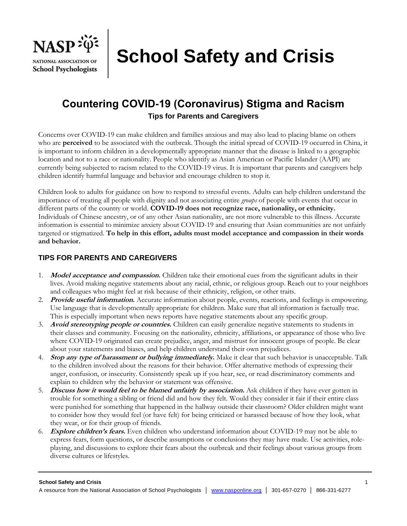

**School Safety and Crisis**

# **Countering COVID-19 (Coronavirus) Stigma and Racism Tips for Parents and Caregivers**

Concerns over COVID-19 can make children and families anxious and may also lead to placing blame on others who are **perceived** to be associated with the outbreak. Though the initial spread of COVID-19 occurred in China, it is important to inform children in a developmentally appropriate manner that the disease is linked to a geographic location and not to a race or nationality. People who identify as Asian American or Pacific Islander (AAPI) are currently being subjected to racism related to the COVID-19 virus. It is important that parents and caregivers help children identify harmful language and behavior and encourage children to stop it.

Children look to adults for guidance on how to respond to stressful events. Adults can help children understand the importance of treating all people with dignity and not associating entire *groups* of people with events that occur in different parts of the country or world. **COVID-19 does not recognize race, nationality, or ethnicity.**  Individuals of Chinese ancestry, or of any other Asian nationality, are not more vulnerable to this illness. Accurate information is essential to minimize anxiety about COVID-19 and ensuring that Asian communities are not unfairly targeted or stigmatized. **To help in this effort, adults must model acceptance and compassion in their words and behavior.**

## **TIPS FOR PARENTS AND CAREGIVERS**

- 1. **Model acceptance and compassion.** Children take their emotional cues from the significant adults in their lives. Avoid making negative statements about any racial, ethnic, or religious group. Reach out to your neighbors and colleagues who might feel at risk because of their ethnicity, religion, or other traits.
- 2. **Provide useful information.** Accurate information about people, events, reactions, and feelings is empowering. Use language that is developmentally appropriate for children. Make sure that all information is factually true. This is especially important when news reports have negative statements about any specific group.
- 3. **Avoid stereotyping people or countries.** Children can easily generalize negative statements to students in their classes and community. Focusing on the nationality, ethnicity, affiliations, or appearance of those who live where COVID-19 originated can create prejudice, anger, and mistrust for innocent groups of people. Be clear about your statements and biases, and help children understand their own prejudices.
- 4. **Stop any type of harassment or bullying immediately.** Make it clear that such behavior is unacceptable. Talk to the children involved about the reasons for their behavior. Offer alternative methods of expressing their anger, confusion, or insecurity. Consistently speak up if you hear, see, or read discriminatory comments and explain to children why the behavior or statement was offensive.
- 5. **Discuss how it would feel to be blamed unfairly by association.** Ask children if they have ever gotten in trouble for something a sibling or friend did and how they felt. Would they consider it fair if their entire class were punished for something that happened in the hallway outside their classroom? Older children might want to consider how they would feel (or have felt) for being criticized or harassed because of how they look, what they wear, or for their group of friends.
- 6. **Explore children's fears.** Even children who understand information about COVID-19 may not be able to express fears, form questions, or describe assumptions or conclusions they may have made. Use activities, roleplaying, and discussions to explore their fears about the outbreak and their feelings about various groups from diverse cultures or lifestyles.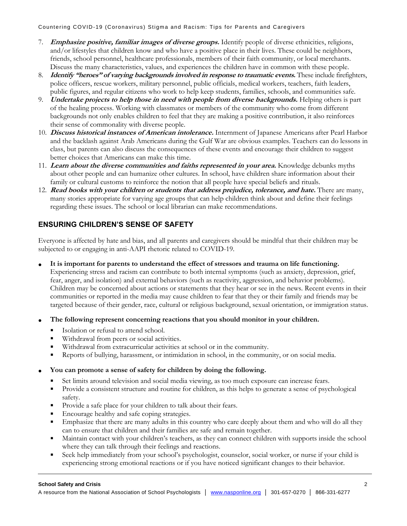Countering COVID-19 (Coronavirus) Stigma and Racism: Tips for Parents and Caregivers

- 7. **Emphasize positive, familiar images of diverse groups.** Identify people of diverse ethnicities, religions, and/or lifestyles that children know and who have a positive place in their lives. These could be neighbors, friends, school personnel, healthcare professionals, members of their faith community, or local merchants. Discuss the many characteristics, values, and experiences the children have in common with these people.
- 8. **Identify "heroes" of varying backgrounds involved in response to traumatic events.** These include firefighters, police officers, rescue workers, military personnel, public officials, medical workers, teachers, faith leaders, public figures, and regular citizens who work to help keep students, families, schools, and communities safe.
- 9. **Undertake projects to help those in need with people from diverse backgrounds.** Helping others is part of the healing process. Working with classmates or members of the community who come from different backgrounds not only enables children to feel that they are making a positive contribution, it also reinforces their sense of commonality with diverse people.
- 10. **Discuss historical instances of American intolerance.** Internment of Japanese Americans after Pearl Harbor and the backlash against Arab Americans during the Gulf War are obvious examples. Teachers can do lessons in class, but parents can also discuss the consequences of these events and encourage their children to suggest better choices that Americans can make this time.
- 11. **Learn about the diverse communities and faiths represented in your area.** Knowledge debunks myths about other people and can humanize other cultures. In school, have children share information about their family or cultural customs to reinforce the notion that all people have special beliefs and rituals.
- 12. **Read books with your children or students that address prejudice, tolerance, and hate.** There are many, many stories appropriate for varying age groups that can help children think about and define their feelings regarding these issues. The school or local librarian can make recommendations.

# **ENSURING CHILDREN'S SENSE OF SAFETY**

Everyone is affected by hate and bias, and all parents and caregivers should be mindful that their children may be subjected to or engaging in anti-AAPI rhetoric related to COVID-19.

- **It is important for parents to understand the effect of stressors and trauma on life functioning.** Experiencing stress and racism can contribute to both internal symptoms (such as anxiety, depression, grief, fear, anger, and isolation) and external behaviors (such as reactivity, aggression, and behavior problems). Children may be concerned about actions or statements that they hear or see in the news. Recent events in their communities or reported in the media may cause children to fear that they or their family and friends may be targeted because of their gender, race, cultural or religious background, sexual orientation, or immigration status.
- **The following represent concerning reactions that you should monitor in your children.**
	- Isolation or refusal to attend school.
	- Withdrawal from peers or social activities.
	- Withdrawal from extracurricular activities at school or in the community.
	- Reports of bullying, harassment, or intimidation in school, in the community, or on social media.

## • **You can promote a sense of safety for children by doing the following.**

- Set limits around television and social media viewing, as too much exposure can increase fears.
- Provide a consistent structure and routine for children, as this helps to generate a sense of psychological safety.
- **•** Provide a safe place for your children to talk about their fears.
- **Encourage healthy and safe coping strategies.**
- **Emphasize that there are many adults in this country who care deeply about them and who will do all they** can to ensure that children and their families are safe and remain together.
- Maintain contact with your children's teachers, as they can connect children with supports inside the school where they can talk through their feelings and reactions.
- Seek help immediately from your school's psychologist, counselor, social worker, or nurse if your child is experiencing strong emotional reactions or if you have noticed significant changes to their behavior.

### **School Safety and Crisis** 2